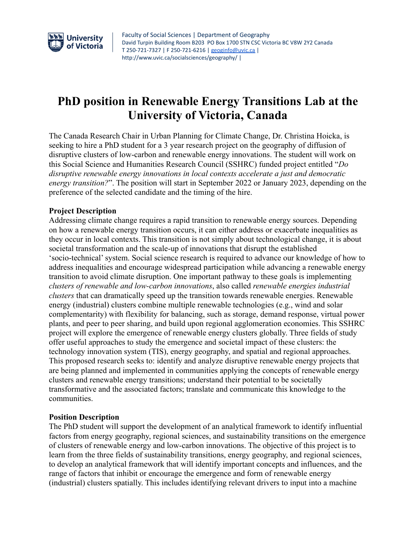

# **PhD position in Renewable Energy Transitions Lab at the University of Victoria, Canada**

The Canada Research Chair in Urban Planning for Climate Change, Dr. Christina Hoicka, is seeking to hire a PhD student for a 3 year research project on the geography of diffusion of disruptive clusters of low-carbon and renewable energy innovations. The student will work on this Social Science and Humanities Research Council (SSHRC) funded project entitled "*Do disruptive renewable energy innovations in local contexts accelerate a just and democratic energy transition?*". The position will start in September 2022 or January 2023, depending on the preference of the selected candidate and the timing of the hire.

#### **Project Description**

Addressing climate change requires a rapid transition to renewable energy sources. Depending on how a renewable energy transition occurs, it can either address or exacerbate inequalities as they occur in local contexts. This transition is not simply about technological change, it is about societal transformation and the scale-up of innovations that disrupt the established 'socio-technical' system. Social science research is required to advance our knowledge of how to address inequalities and encourage widespread participation while advancing a renewable energy transition to avoid climate disruption. One important pathway to these goals is implementing *clusters of renewable and low-carbon innovations*, also called *renewable energies industrial clusters* that can dramatically speed up the transition towards renewable energies. Renewable energy (industrial) clusters combine multiple renewable technologies (e.g., wind and solar complementarity) with flexibility for balancing, such as storage, demand response, virtual power plants, and peer to peer sharing, and build upon regional agglomeration economies. This SSHRC project will explore the emergence of renewable energy clusters globally. Three fields of study offer useful approaches to study the emergence and societal impact of these clusters: the technology innovation system (TIS), energy geography, and spatial and regional approaches. This proposed research seeks to: identify and analyze disruptive renewable energy projects that are being planned and implemented in communities applying the concepts of renewable energy clusters and renewable energy transitions; understand their potential to be societally transformative and the associated factors; translate and communicate this knowledge to the communities.

#### **Position Description**

The PhD student will support the development of an analytical framework to identify influential factors from energy geography, regional sciences, and sustainability transitions on the emergence of clusters of renewable energy and low-carbon innovations. The objective of this project is to learn from the three fields of sustainability transitions, energy geography, and regional sciences, to develop an analytical framework that will identify important concepts and influences, and the range of factors that inhibit or encourage the emergence and form of renewable energy (industrial) clusters spatially. This includes identifying relevant drivers to input into a machine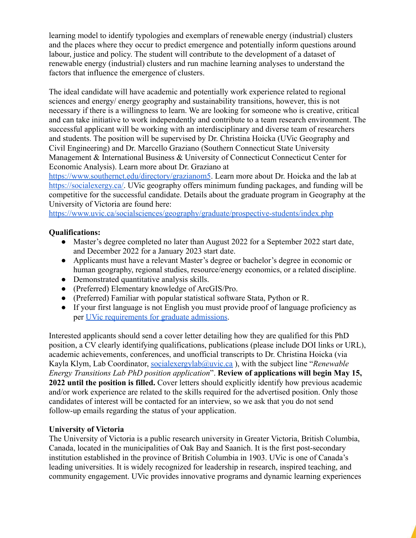learning model to identify typologies and exemplars of renewable energy (industrial) clusters and the places where they occur to predict emergence and potentially inform questions around labour, justice and policy. The student will contribute to the development of a dataset of renewable energy (industrial) clusters and run machine learning analyses to understand the factors that influence the emergence of clusters.

The ideal candidate will have academic and potentially work experience related to regional sciences and energy/ energy geography and sustainability transitions, however, this is not necessary if there is a willingness to learn. We are looking for someone who is creative, critical and can take initiative to work independently and contribute to a team research environment. The successful applicant will be working with an interdisciplinary and diverse team of researchers and students. The position will be supervised by Dr. Christina Hoicka (UVic Geography and Civil Engineering) and Dr. Marcello Graziano (Southern Connecticut State University Management & International Business & University of Connecticut Connecticut Center for Economic Analysis). Learn more about Dr. Graziano at

<https://www.southernct.edu/directory/grazianom5>. Learn more about Dr. Hoicka and the lab at [https://socialexergy.ca/.](https://socialexergy.ca/) UVic geography offers minimum funding packages, and funding will be competitive for the successful candidate. Details about the graduate program in Geography at the University of Victoria are found here:

<https://www.uvic.ca/socialsciences/geography/graduate/prospective-students/index.php>

### **Qualifications:**

- Master's degree completed no later than August 2022 for a September 2022 start date, and December 2022 for a January 2023 start date.
- Applicants must have a relevant Master's degree or bachelor's degree in economic or human geography, regional studies, resource/energy economics, or a related discipline.
- Demonstrated quantitative analysis skills.
- (Preferred) Elementary knowledge of ArcGIS/Pro.
- (Preferred) Familiar with popular statistical software Stata, Python or R.
- If your first language is not English you must provide proof of language proficiency as per [UVic requirements for graduate admissions.](https://www.uvic.ca/graduate/admissions/language-proficiency/index.php)

Interested applicants should send a cover letter detailing how they are qualified for this PhD position, a CV clearly identifying qualifications, publications (please include DOI links or URL), academic achievements, conferences, and unofficial transcripts to Dr. Christina Hoicka (via Kayla Klym, Lab Coordinator, [socialexergylab@uvic.ca](mailto:socialexergylab@uvic.ca) ), with the subject line "*Renewable Energy Transitions Lab PhD position application*". **Review of applications will begin May 15, 2022 until the position is filled.** Cover letters should explicitly identify how previous academic and/or work experience are related to the skills required for the advertised position. Only those candidates of interest will be contacted for an interview, so we ask that you do not send follow-up emails regarding the status of your application.

### **University of Victoria**

The University of Victoria is a public research university in Greater Victoria, British Columbia, Canada, located in the municipalities of Oak Bay and Saanich. It is the first post-secondary institution established in the province of British Columbia in 1903. UVic is one of Canada's leading universities. It is widely recognized for leadership in research, inspired teaching, and community engagement. UVic provides innovative programs and dynamic learning experiences